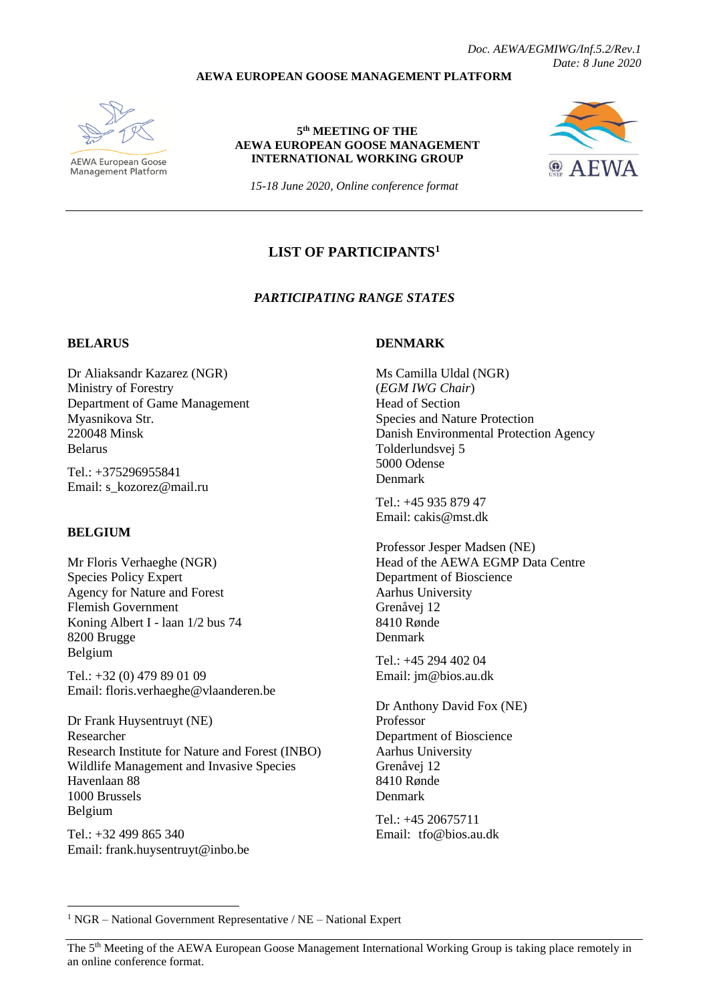*Doc. AEWA/EGMIWG/Inf.5.2/Rev.1 Date: 8 June 2020*

#### **AEWA EUROPEAN GOOSE MANAGEMENT PLATFORM**



AEWA European Goose Management Platform

#### **5 th MEETING OF THE AEWA EUROPEAN GOOSE MANAGEMENT INTERNATIONAL WORKING GROUP**



*15-18 June 2020, Online conference format*

# **LIST OF PARTICIPANTS<sup>1</sup>**

#### *PARTICIPATING RANGE STATES*

#### **BELARUS**

Dr Aliaksandr Kazarez (NGR) Ministry of Forestry Department of Game Management Myasnikova Str. 220048 Minsk Belarus

Tel.: +375296955841 Email: s\_kozorez@mail.ru

## **BELGIUM**

Mr Floris Verhaeghe (NGR) Species Policy Expert Agency for Nature and Forest Flemish Government Koning Albert I - laan 1/2 bus 74 8200 Brugge Belgium

Tel.: +32 (0) 479 89 01 09 Email: floris.verhaeghe@vlaanderen.be

Dr Frank Huysentruyt (NE) Researcher Research Institute for Nature and Forest (INBO) Wildlife Management and Invasive Species Havenlaan 88 1000 Brussels Belgium

Tel.: +32 499 865 340 Email: [frank.huysentruyt@inbo.be](mailto:frank.huysentruyt@inbo.be)

## **DENMARK**

Ms Camilla Uldal (NGR) (*EGM IWG Chair*) Head of Section Species and Nature Protection Danish Environmental Protection Agency Tolderlundsvej 5 5000 Odense Denmark

Tel.: +45 935 879 47 Email: cakis@mst.dk

Professor Jesper Madsen (NE) Head of the AEWA EGMP Data Centre Department of Bioscience Aarhus University Grenåvej 12 8410 Rønde Denmark

Tel.: +45 294 402 04 Email[: jm@bios.au.dk](mailto:jm@bios.au.dk)

Dr Anthony David Fox (NE) Professor Department of Bioscience Aarhus University Grenåvej 12 8410 Rønde Denmark

 $Tel \cdot +45 20675711$ Email: tfo@bios.au.dk

<sup>1</sup> NGR – National Government Representative / NE – National Expert

The 5<sup>th</sup> Meeting of the AEWA European Goose Management International Working Group is taking place remotely in an online conference format.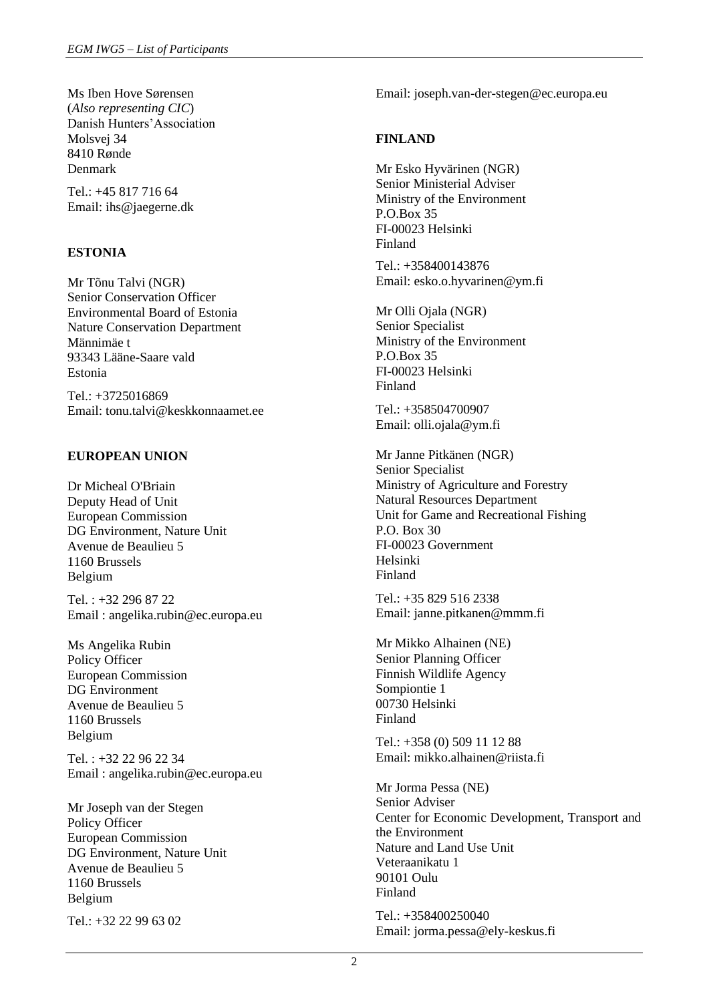Ms Iben Hove Sørensen (*Also representing CIC*) Danish Hunters'Association Molsvej 34 8410 Rønde Denmark

Tel.: +45 817 716 64 Email: [ihs@jaegerne.dk](mailto:ihs@jaegerne.dk)

# **ESTONIA**

Mr Tõnu Talvi (NGR) Senior Conservation Officer Environmental Board of Estonia Nature Conservation Department Männimäe t 93343 Lääne-Saare vald Estonia

Tel.: +3725016869 Email: tonu.talvi@keskkonnaamet.ee

## **EUROPEAN UNION**

Dr Micheal O'Briain Deputy Head of Unit European Commission DG Environment, Nature Unit Avenue de Beaulieu 5 1160 Brussels Belgium

Tel. : +32 296 87 22 Email : angelika.rubin@ec.europa.eu

Ms Angelika Rubin Policy Officer European Commission DG Environment Avenue de Beaulieu 5 1160 Brussels Belgium

Tel. : +32 22 96 22 34 Email : angelika.rubin@ec.europa.eu

Mr Joseph van der Stegen Policy Officer European Commission DG Environment, Nature Unit Avenue de Beaulieu 5 1160 Brussels Belgium

Tel.: +32 22 99 63 02

Email: joseph.van-der-stegen@ec.europa.eu

## **FINLAND**

Mr Esko Hyvärinen (NGR) Senior Ministerial Adviser Ministry of the Environment P.O.Box 35 FI-00023 Helsinki Finland

Tel.: +358400143876 Email[: esko.o.hyvarinen@ym.fi](mailto:esko.o.hyvarinen@ym.fi)

Mr Olli Ojala (NGR) Senior Specialist Ministry of the Environment P.O.Box 35 FI-00023 Helsinki Finland

Tel.: +358504700907 Email: olli.ojala@ym.fi

Mr Janne Pitkänen (NGR) Senior Specialist Ministry of Agriculture and Forestry Natural Resources Department Unit for Game and Recreational Fishing P.O. Box 30 FI-00023 Government Helsinki Finland

Tel.: +35 829 516 2338 Email[: janne.pitkanen@mmm.fi](mailto:janne.pitkanen@mmm.fi)

Mr Mikko Alhainen (NE) Senior Planning Officer Finnish Wildlife Agency Sompiontie 1 00730 Helsinki Finland

Tel.: +358 (0) 509 11 12 88 Email[: mikko.alhainen@riista.fi](mailto:mikko.alhainen@riista.fi)

Mr Jorma Pessa (NE) Senior Adviser Center for Economic Development, Transport and the Environment Nature and Land Use Unit Veteraanikatu 1 90101 Oulu Finland Tel.: +358400250040

Email: jorma.pessa@ely-keskus.fi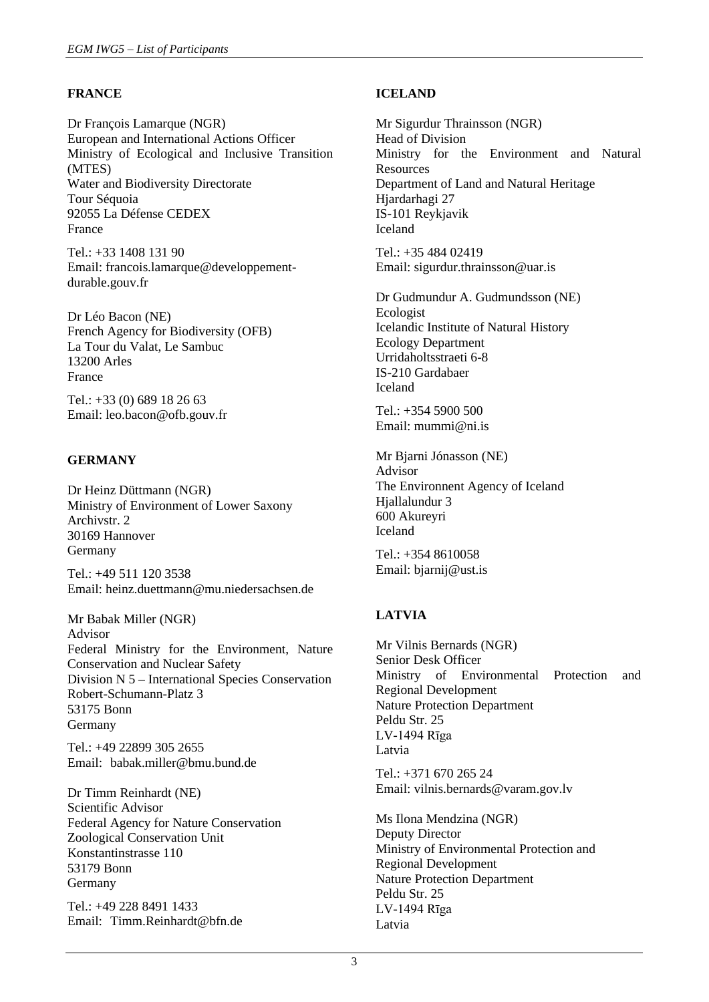# **FRANCE**

Dr François Lamarque (NGR) European and International Actions Officer Ministry of Ecological and Inclusive Transition (MTES) Water and Biodiversity Directorate Tour Séquoia 92055 La Défense CEDEX France

Tel.: +33 1408 131 90 Email: francois.lamarque@developpementdurable.gouv.fr

Dr Léo Bacon (NE) French Agency for Biodiversity (OFB) La Tour du Valat, Le Sambuc 13200 Arles France

Tel.: +33 (0) 689 18 26 63 Email: leo.bacon@ofb.gouv.fr

# **GERMANY**

Dr Heinz Düttmann (NGR) Ministry of Environment of Lower Saxony Archivstr. 2 30169 Hannover Germany

Tel.: +49 511 120 3538 Email: heinz.duettmann@mu.niedersachsen.de

Mr Babak Miller (NGR) Advisor Federal Ministry for the Environment, Nature Conservation and Nuclear Safety Division N 5 – International Species Conservation Robert-Schumann-Platz 3 53175 Bonn Germany

Tel.: +49 22899 305 2655 Email: babak.miller@bmu.bund.de

Dr Timm Reinhardt (NE) Scientific Advisor Federal Agency for Nature Conservation Zoological Conservation Unit Konstantinstrasse 110 53179 Bonn Germany

Tel.: +49 228 8491 1433 Email: Timm.Reinhardt@bfn.de

## **ICELAND**

Mr Sigurdur Thrainsson (NGR) Head of Division Ministry for the Environment and Natural **Resources** Department of Land and Natural Heritage Hjardarhagi 27 IS-101 Reykjavik Iceland

Tel.: +35 484 02419 Email: sigurdur.thrainsson@uar.is

Dr Gudmundur A. Gudmundsson (NE) Ecologist Icelandic Institute of Natural History Ecology Department Urridaholtsstraeti 6-8 IS-210 Gardabaer Iceland

Tel.: +354 5900 500 Email[: mummi@ni.is](mailto:mummi@ni.is)

Mr Bjarni Jónasson (NE) Advisor The Environnent Agency of Iceland Hjallalundur 3 600 Akureyri Iceland

Tel.: +354 8610058 Email: bjarnij@ust.is

# **LATVIA**

Mr Vilnis Bernards (NGR) Senior Desk Officer Ministry of Environmental Protection and Regional Development Nature Protection Department Peldu Str. 25 LV-1494 Rīga Latvia

Tel.: +371 670 265 24 Email: vilnis.bernards@varam.gov.lv

Ms Ilona Mendzina (NGR) Deputy Director Ministry of Environmental Protection and Regional Development Nature Protection Department Peldu Str. 25 LV-1494 Rīga Latvia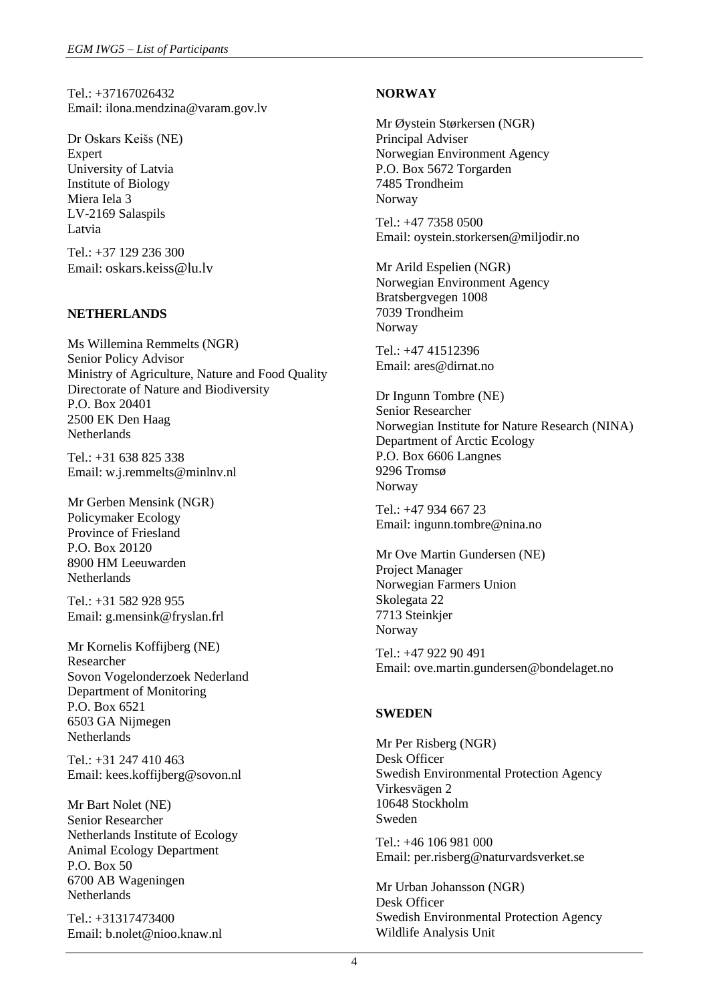Tel.: +37167026432 Email: ilona.mendzina@varam.gov.lv

Dr Oskars Keišs (NE) Expert University of Latvia Institute of Biology Miera Iela 3 LV-2169 Salaspils Latvia

Tel.: +37 129 236 300 Email: [oskars.keiss@lu.lv](mailto:oskars.keiss@lu.lv)

## **NETHERLANDS**

Ms Willemina Remmelts (NGR) Senior Policy Advisor Ministry of Agriculture, Nature and Food Quality Directorate of Nature and Biodiversity P.O. Box 20401 2500 EK Den Haag Netherlands

Tel.: +31 638 825 338 Email: w.j.remmelts@minlnv.nl

Mr Gerben Mensink (NGR) Policymaker Ecology Province of Friesland P.O. Box 20120 8900 HM Leeuwarden Netherlands

Tel.: +31 582 928 955 Email: g.mensink@fryslan.frl

Mr Kornelis Koffijberg (NE) Researcher Sovon Vogelonderzoek Nederland Department of Monitoring P.O. Box 6521 6503 GA Nijmegen Netherlands

Tel.: +31 247 410 463 Email: [kees.koffijberg@sovon.nl](mailto:kees.koffijberg@sovon.nl)

Mr Bart Nolet (NE) Senior Researcher Netherlands Institute of Ecology Animal Ecology Department P.O. Box 50 6700 AB Wageningen **Netherlands** 

Tel.: +31317473400 Email: b.nolet@nioo.knaw.nl

# **NORWAY**

Mr Øystein Størkersen (NGR) Principal Adviser Norwegian Environment Agency P.O. Box 5672 Torgarden 7485 Trondheim Norway

Tel.: +47 7358 0500 Email: [oystein.storkersen@miljodir.no](mailto:oystein.storkersen@miljodir.no)

Mr Arild Espelien (NGR) Norwegian Environment Agency Bratsbergvegen 1008 7039 Trondheim Norway

Tel.: +47 41512396 Email: ares@dirnat.no

Dr Ingunn Tombre (NE) Senior Researcher Norwegian Institute for Nature Research (NINA) Department of Arctic Ecology P.O. Box 6606 Langnes 9296 Tromsø Norway

Tel.: +47 934 667 23 Email[: ingunn.tombre@nina.no](mailto:ingunn.tombre@nina.no)

Mr Ove Martin Gundersen (NE) Project Manager Norwegian Farmers Union Skolegata 22 7713 Steinkjer Norway

Tel.: +47 922 90 491 Email: ove.martin.gundersen@bondelaget.no

## **SWEDEN**

Mr Per Risberg (NGR) Desk Officer Swedish Environmental Protection Agency Virkesvägen 2 10648 Stockholm Sweden

Tel.: +46 106 981 000 Email[: per.risberg@naturvardsverket.se](mailto:per.risberg@naturvardsverket.se)

Mr Urban Johansson (NGR) Desk Officer Swedish Environmental Protection Agency Wildlife Analysis Unit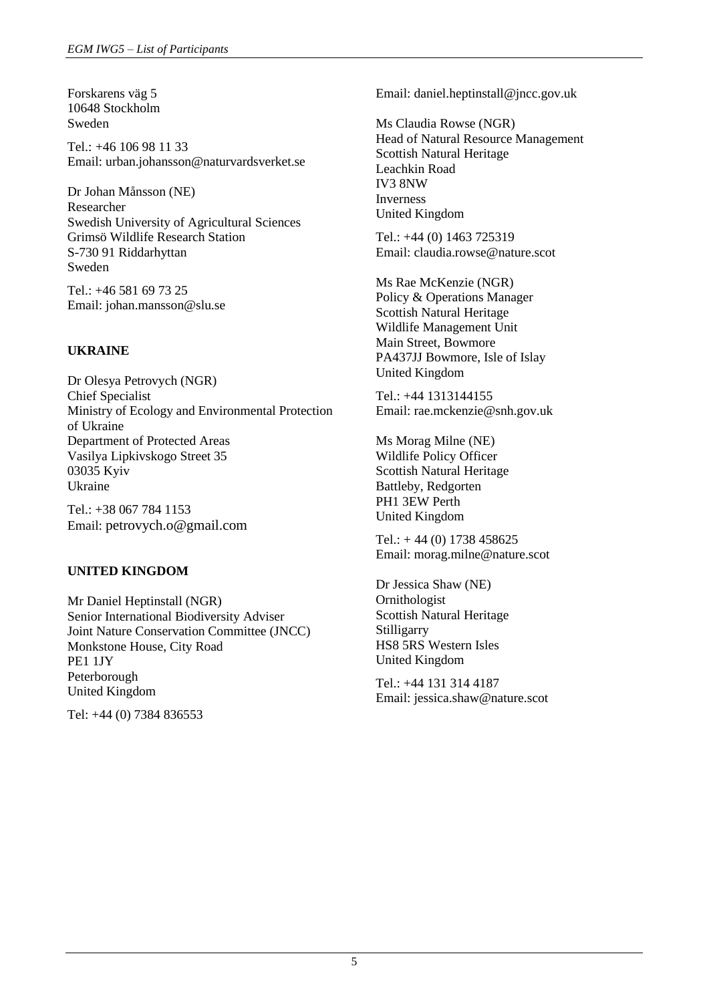Forskarens väg 5 10648 Stockholm Sweden

Tel.: +46 106 98 11 33 Email: urban.johansson@naturvardsverket.se

Dr Johan Månsson (NE) Researcher Swedish University of Agricultural Sciences Grimsö Wildlife Research Station S-730 91 Riddarhyttan Sweden

Tel.: +46 581 69 73 25 Email: [johan.mansson@slu.se](mailto:johan.mansson@slu.se)

# **UKRAINE**

Dr Olesya Petrovych (NGR) Chief Specialist Ministry of Ecology and Environmental Protection of Ukraine Department of Protected Areas Vasilya Lipkivskogo Street 35 03035 Kyiv Ukraine

Tel.: +38 067 784 1153 Email: [petrovych.o@gmail.com](mailto:petrovych.o@gmail.com)

## **UNITED KINGDOM**

Mr Daniel Heptinstall (NGR) Senior International Biodiversity Adviser Joint Nature Conservation Committee (JNCC) Monkstone House, City Road PE1 1JY Peterborough United Kingdom

Tel: +44 (0) 7384 836553

Email: daniel.heptinstall@jncc.gov.uk

Ms Claudia Rowse (NGR) Head of Natural Resource Management Scottish Natural Heritage Leachkin Road IV3 8NW Inverness United Kingdom

Tel.: +44 (0) 1463 725319 Email: claudia.rowse@nature.scot

Ms Rae McKenzie (NGR) Policy & Operations Manager Scottish Natural Heritage Wildlife Management Unit Main Street, Bowmore PA437JJ Bowmore, Isle of Islay United Kingdom

Tel.: +44 1313144155 Email[: rae.mckenzie@snh.gov.uk](mailto:rae.mckenzie@snh.gov.uk)

Ms Morag Milne (NE) Wildlife Policy Officer Scottish Natural Heritage Battleby, Redgorten PH1 3EW Perth United Kingdom

Tel.: + 44 (0) 1738 458625 Email: morag.milne@nature.scot

Dr Jessica Shaw (NE) Ornithologist Scottish Natural Heritage **Stilligarry** HS8 5RS Western Isles United Kingdom

Tel.: +44 131 314 4187 Email: jessica.shaw@nature.scot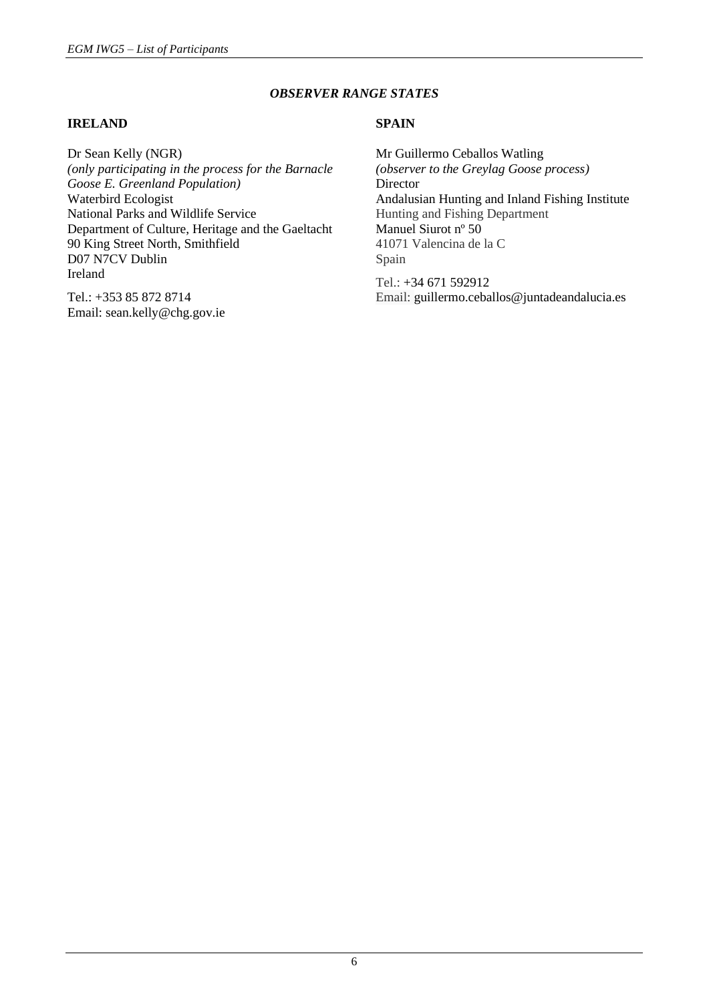## *OBSERVER RANGE STATES*

#### **IRELAND**

Dr Sean Kelly (NGR) *(only participating in the process for the Barnacle Goose E. Greenland Population)* Waterbird Ecologist National Parks and Wildlife Service Department of Culture, Heritage and the Gaeltacht 90 King Street North, Smithfield D07 N7CV Dublin Ireland

Tel.: +353 85 872 8714 Email: sean.kelly@chg.gov.ie

## **SPAIN**

Mr Guillermo Ceballos Watling *(observer to the Greylag Goose process)* **Director** Andalusian Hunting and Inland Fishing Institute Hunting and Fishing Department Manuel Siurot nº 50 41071 Valencina de la C Spain

Tel.: +34 671 592912 Email: guillermo.ceballos@juntadeandalucia.es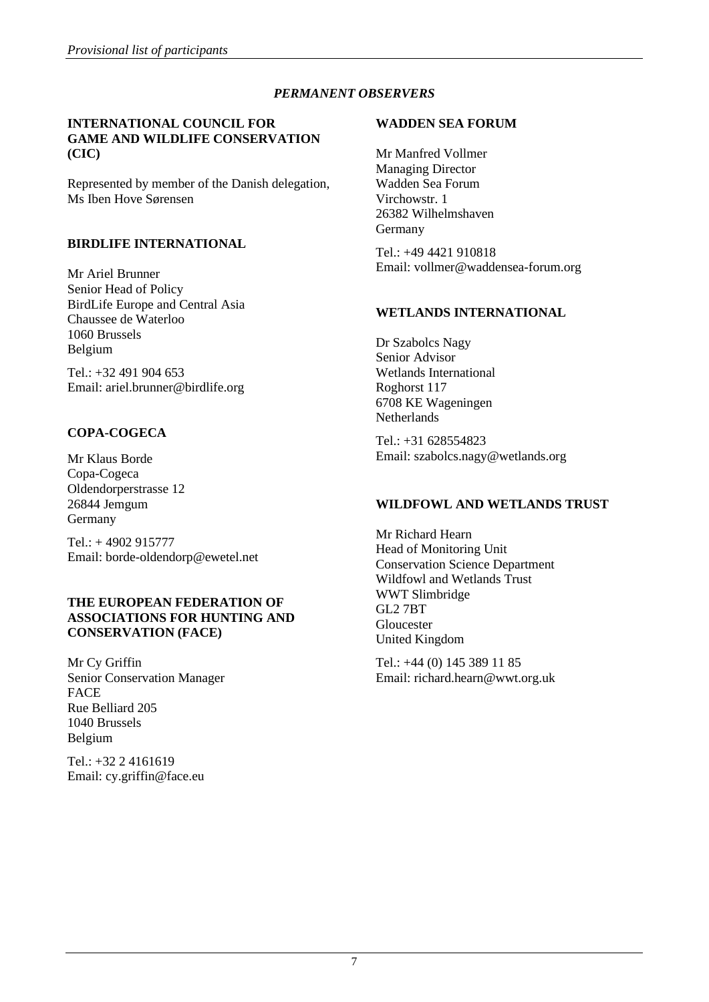# *PERMANENT OBSERVERS*

#### **INTERNATIONAL COUNCIL FOR GAME AND WILDLIFE CONSERVATION (CIC)**

Represented by member of the Danish delegation, Ms Iben Hove Sørensen

## **BIRDLIFE INTERNATIONAL**

Mr Ariel Brunner Senior Head of Policy BirdLife Europe and Central Asia Chaussee de Waterloo 1060 Brussels Belgium

Tel.: +32 491 904 653 Email: ariel.brunner@birdlife.org

# **COPA-COGECA**

Mr Klaus Borde Copa-Cogeca Oldendorperstrasse 12 26844 Jemgum Germany

Tel.: + 4902 915777 Email: borde-oldendorp@ewetel.net

## **THE EUROPEAN FEDERATION OF ASSOCIATIONS FOR HUNTING AND CONSERVATION (FACE)**

Mr Cy Griffin Senior Conservation Manager **FACE** Rue Belliard 205 1040 Brussels Belgium

Tel.: +32 2 4161619 Email: cy.griffin@face.eu

## **WADDEN SEA FORUM**

Mr Manfred Vollmer Managing Director Wadden Sea Forum Virchowstr. 1 26382 Wilhelmshaven Germany

Tel.: +49 4421 910818 Email: vollmer@waddensea-forum.org

# **WETLANDS INTERNATIONAL**

Dr Szabolcs Nagy Senior Advisor Wetlands International Roghorst 117 6708 KE Wageningen **Netherlands** 

Tel.: +31 628554823 Email[: szabolcs.nagy@wetlands.org](mailto:szabolcs.nagy@wetlands.org)

# **WILDFOWL AND WETLANDS TRUST**

Mr Richard Hearn Head of Monitoring Unit Conservation Science Department Wildfowl and Wetlands Trust WWT Slimbridge GL2 7BT Gloucester United Kingdom

Tel.: +44 (0) 145 389 11 85 Email: richard.hearn@wwt.org.uk